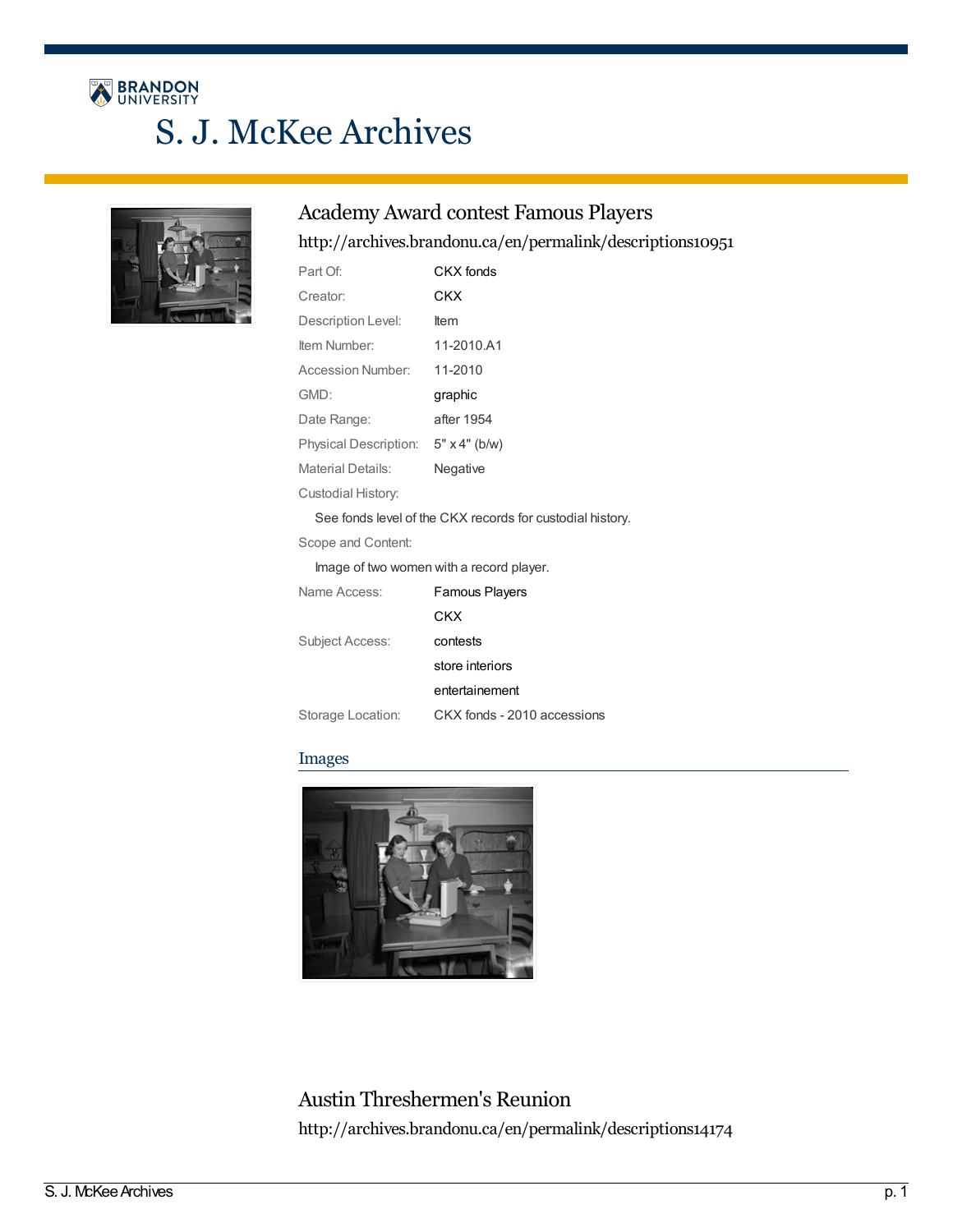# BRANDON S. J. McKee Archives



### Academy Award contest Famous Players

### <http://archives.brandonu.ca/en/permalink/descriptions10951>

| Part Of:                                 | CKX fonds                                                 |  |
|------------------------------------------|-----------------------------------------------------------|--|
| Creator:                                 | CKX                                                       |  |
| Description Level:                       | Item                                                      |  |
| Item Number:                             | 11-2010.A1                                                |  |
| Accession Number:                        | 11-2010                                                   |  |
| GMD:                                     | graphic                                                   |  |
| Date Range:                              | after 1954                                                |  |
| Physical Description: 5" x 4" (b/w)      |                                                           |  |
| <b>Material Details:</b>                 | Negative                                                  |  |
| Custodial History:                       |                                                           |  |
|                                          | See fonds level of the CKX records for custodial history. |  |
| Scope and Content:                       |                                                           |  |
| Image of two women with a record player. |                                                           |  |
| Name Access:                             | <b>Famous Players</b>                                     |  |
|                                          | CKX                                                       |  |
| <b>Subject Access:</b>                   | contests                                                  |  |
|                                          | store interiors                                           |  |
|                                          | entertainement                                            |  |
| Storage Location:                        | CKX fonds - 2010 accessions                               |  |

#### Images



Austin Threshermen's Reunion <http://archives.brandonu.ca/en/permalink/descriptions14174>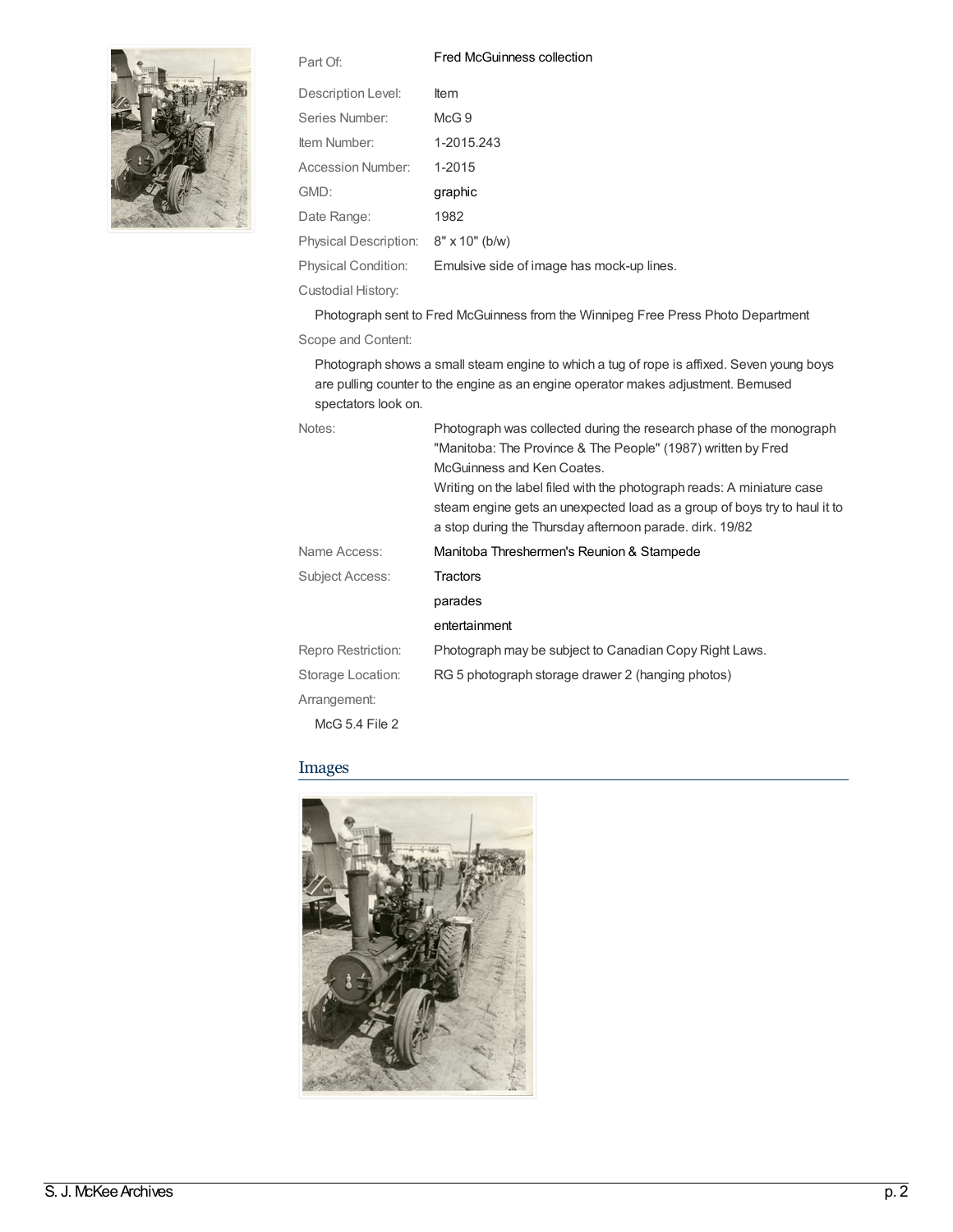Part Of: Fred [McGuinness](http://archives.brandonu.ca/en/list?q=setName%3a%22Fred+McGuinness+collection%22&p=1&ps=&sort=title_sort+asc) collection



| Description Level:       | <b>Item</b>                               |
|--------------------------|-------------------------------------------|
| Series Number:           | McG.9                                     |
| Item Number:             | 1-2015.243                                |
| <b>Accession Number:</b> | 1-2015                                    |
| GMD:                     | graphic                                   |
| Date Range:              | 1982                                      |
| Physical Description:    | $8" \times 10"$ (b/w)                     |
| Physical Condition:      | Emulsive side of image has mock-up lines. |
| Custodial History:       |                                           |

Photograph sent to Fred McGuinness from the Winnipeg Free Press Photo Department

Scope and Content:

Photograph shows a small steam engine to which a tug of rope is affixed. Seven young boys are pulling counter to the engine as an engine operator makes adjustment. Bemused spectators look on.

| Notes:             | Photograph was collected during the research phase of the monograph<br>"Manitoba: The Province & The People" (1987) written by Fred<br>McGuinness and Ken Coates.                                               |
|--------------------|-----------------------------------------------------------------------------------------------------------------------------------------------------------------------------------------------------------------|
|                    | Writing on the label filed with the photograph reads: A miniature case<br>steam engine gets an unexpected load as a group of boys try to haul it to<br>a stop during the Thursday afternoon parade. dirk. 19/82 |
| Name Access:       | Manitoba Threshermen's Reunion & Stampede                                                                                                                                                                       |
| Subject Access:    | Tractors                                                                                                                                                                                                        |
|                    | parades                                                                                                                                                                                                         |
|                    | entertainment                                                                                                                                                                                                   |
| Repro Restriction: | Photograph may be subject to Canadian Copy Right Laws.                                                                                                                                                          |
| Storage Location:  | RG 5 photograph storage drawer 2 (hanging photos)                                                                                                                                                               |
| Arrangement:       |                                                                                                                                                                                                                 |
| McG 5.4 File $2$   |                                                                                                                                                                                                                 |

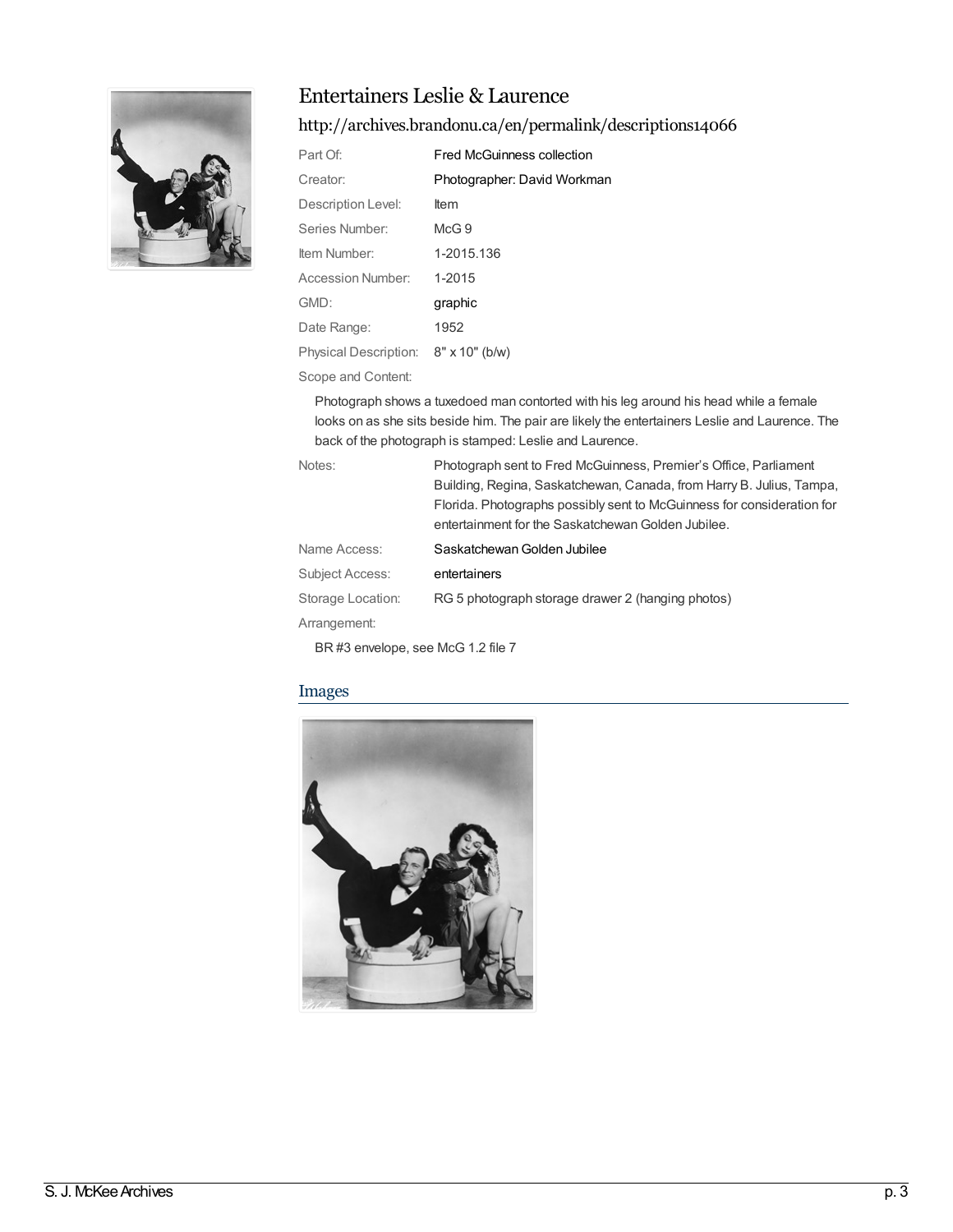

### Entertainers Leslie & Laurence

### <http://archives.brandonu.ca/en/permalink/descriptions14066>

| Part Of:              | <b>Fred McGuinness collection</b> |
|-----------------------|-----------------------------------|
| Creator:              | Photographer: David Workman       |
| Description Level:    | <b>Item</b>                       |
| Series Number:        | McG.9                             |
| Item Number:          | 1-2015.136                        |
| Accession Number:     | 1-2015                            |
| GMD:                  | graphic                           |
| Date Range:           | 1952                              |
| Physical Description: | $8" \times 10"$ (b/w)             |

Scope and Content:

Photograph shows a tuxedoed man contorted with his leg around his head while a female looks on as she sits beside him. The pair are likely the entertainers Leslie and Laurence. The back of the photograph is stamped: Leslie and Laurence.

| Notes:            | Photograph sent to Fred McGuinness, Premier's Office, Parliament       |
|-------------------|------------------------------------------------------------------------|
|                   | Building, Regina, Saskatchewan, Canada, from Harry B. Julius, Tampa,   |
|                   | Florida. Photographs possibly sent to McGuinness for consideration for |
|                   | entertainment for the Saskatchewan Golden Jubilee.                     |
| Name Access:      | Saskatchewan Golden Jubilee                                            |
| Subject Access:   | entertainers                                                           |
| Storage Location: | RG 5 photograph storage drawer 2 (hanging photos)                      |
| Arrangement:      |                                                                        |

BR #3 envelope, see McG 1.2 file 7

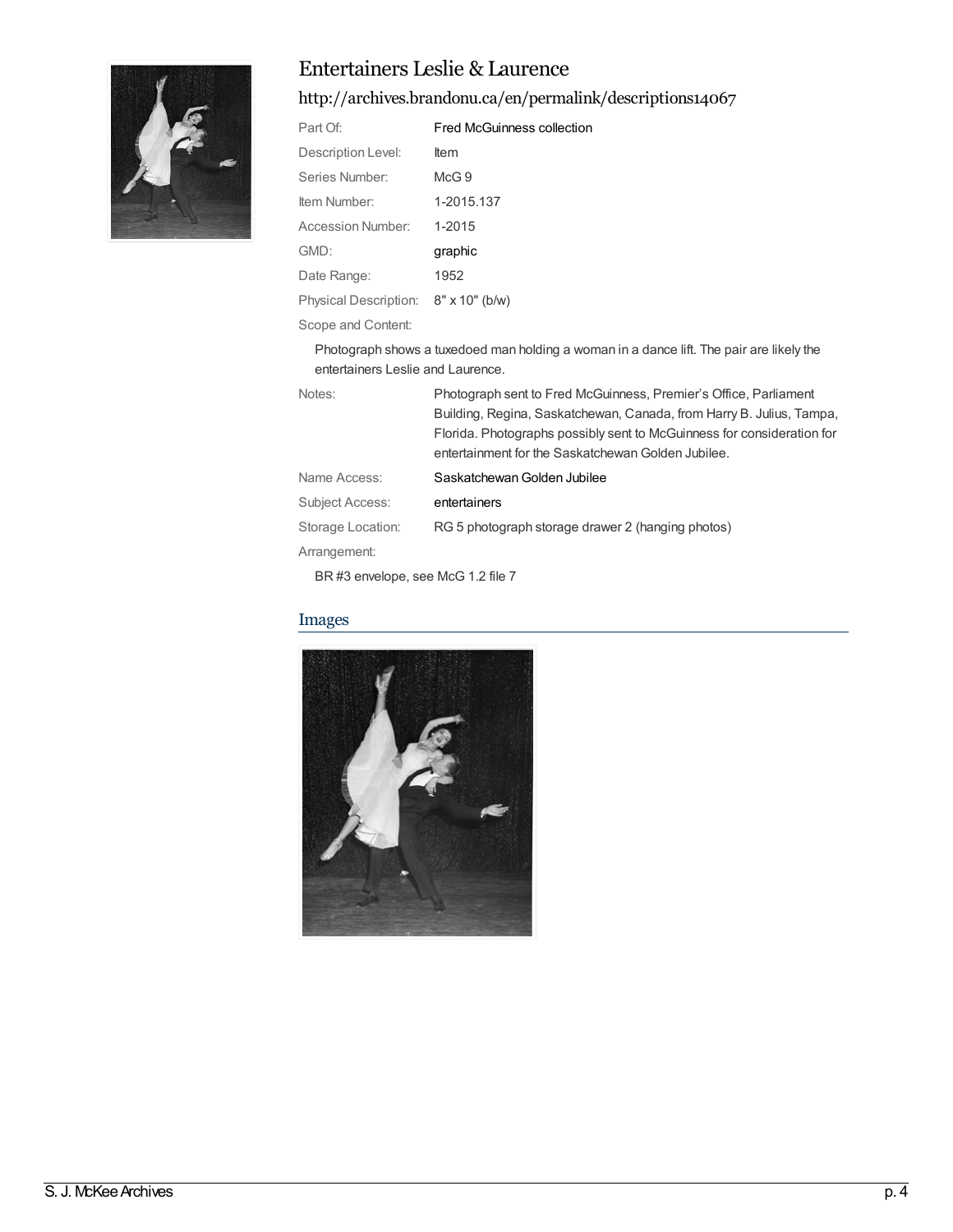

### Entertainers Leslie & Laurence

<http://archives.brandonu.ca/en/permalink/descriptions14067>

| Part Of:                             | Fred McGuinness collection |
|--------------------------------------|----------------------------|
| Description Level:                   | <b>Item</b>                |
| Series Number:                       | McG.9                      |
| Item Number:                         | 1-2015.137                 |
| Accession Number:                    | 1-2015                     |
| GMD:                                 | graphic                    |
| Date Range:                          | 1952                       |
| Physical Description: 8" x 10" (b/w) |                            |
|                                      |                            |

Scope and Content:

Photograph shows a tuxedoed man holding a woman in a dance lift. The pair are likely the entertainers Leslie and Laurence.

| Notes:            | Photograph sent to Fred McGuinness, Premier's Office, Parliament       |
|-------------------|------------------------------------------------------------------------|
|                   | Building, Regina, Saskatchewan, Canada, from Harry B. Julius, Tampa,   |
|                   | Florida. Photographs possibly sent to McGuinness for consideration for |
|                   | entertainment for the Saskatchewan Golden Jubilee.                     |
| Name Access:      | Saskatchewan Golden Jubilee                                            |
| Subject Access:   | entertainers                                                           |
| Storage Location: | RG 5 photograph storage drawer 2 (hanging photos)                      |
| Arrangement:      |                                                                        |

BR #3 envelope, see McG 1.2 file 7

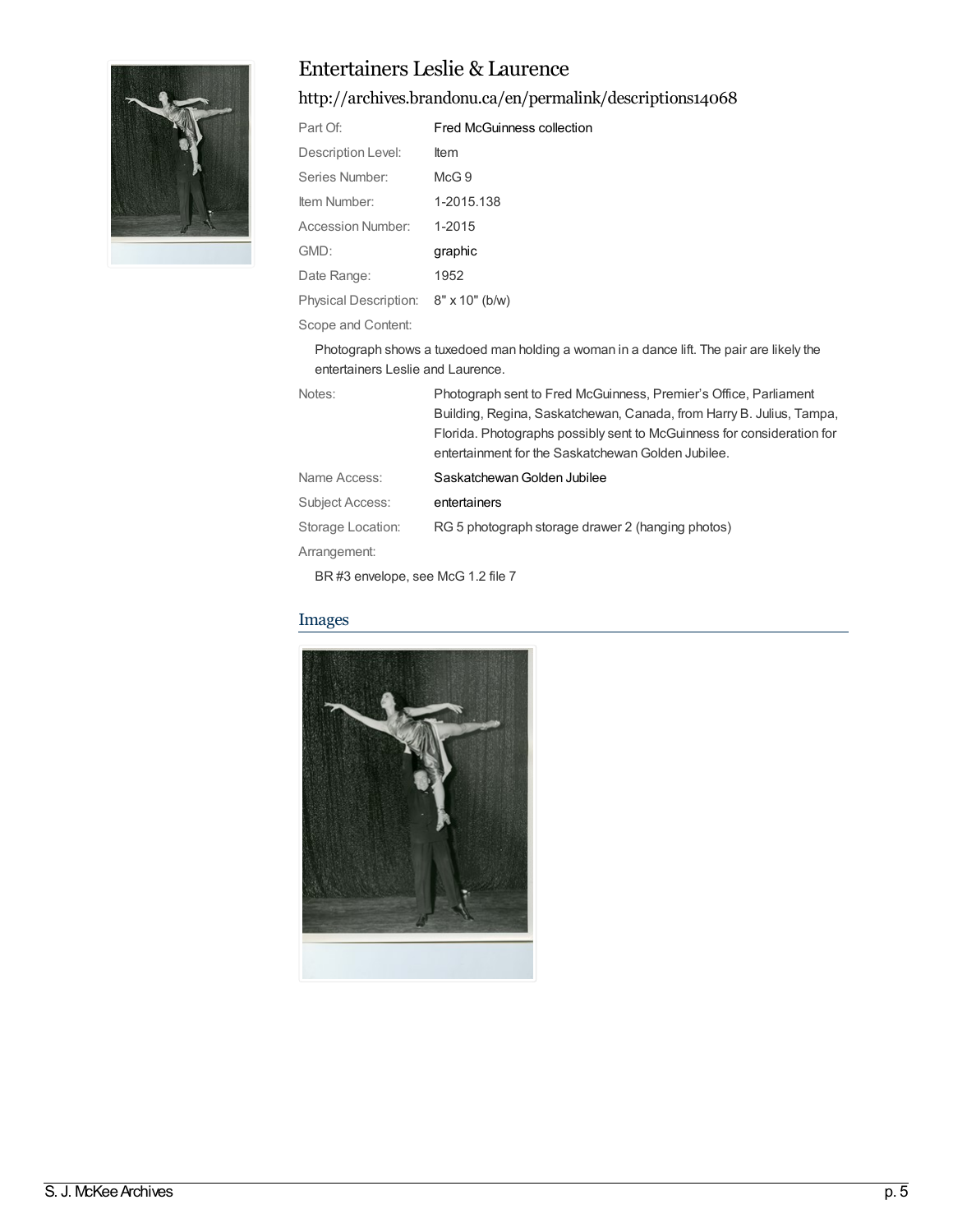

### Entertainers Leslie & Laurence

### <http://archives.brandonu.ca/en/permalink/descriptions14068>

| Part Of:                             | Fred McGuinness collection |
|--------------------------------------|----------------------------|
| Description Level:                   | <b>Item</b>                |
| Series Number:                       | McG.9                      |
| Item Number:                         | 1-2015.138                 |
| Accession Number:                    | 1-2015                     |
| GMD:                                 | graphic                    |
| Date Range:                          | 1952                       |
| Physical Description: 8" x 10" (b/w) |                            |
|                                      |                            |

Scope and Content:

Photograph shows a tuxedoed man holding a woman in a dance lift. The pair are likely the entertainers Leslie and Laurence.

| Notes:            | Photograph sent to Fred McGuinness, Premier's Office, Parliament<br>Building, Regina, Saskatchewan, Canada, from Harry B. Julius, Tampa,<br>Florida. Photographs possibly sent to McGuinness for consideration for |
|-------------------|--------------------------------------------------------------------------------------------------------------------------------------------------------------------------------------------------------------------|
|                   | entertainment for the Saskatchewan Golden Jubilee.                                                                                                                                                                 |
| Name Access:      | Saskatchewan Golden Jubilee                                                                                                                                                                                        |
| Subject Access:   | entertainers                                                                                                                                                                                                       |
| Storage Location: | RG 5 photograph storage drawer 2 (hanging photos)                                                                                                                                                                  |
| Arrangement:      |                                                                                                                                                                                                                    |

BR #3 envelope, see McG 1.2 file 7

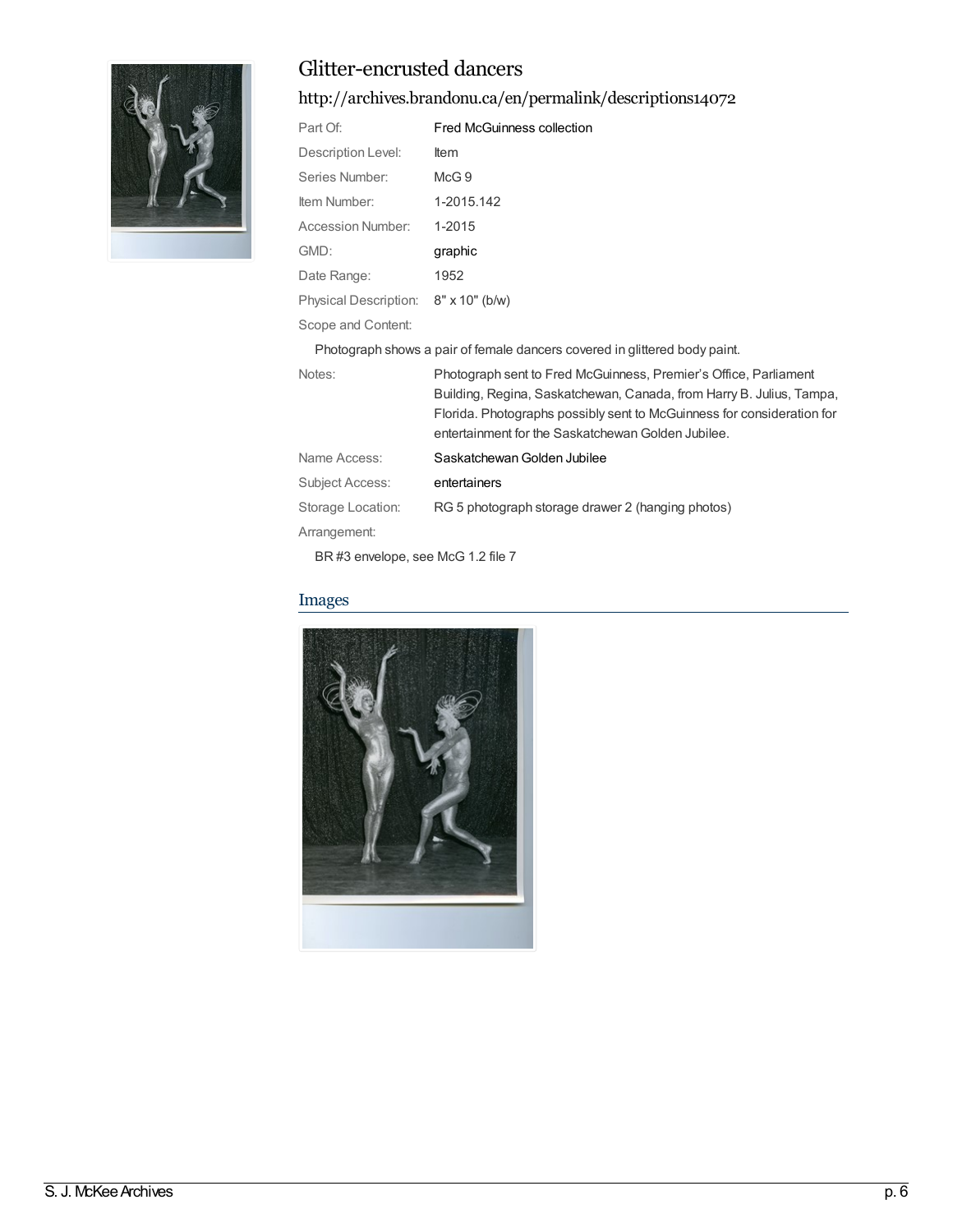

# Glitter-encrusted dancers

<http://archives.brandonu.ca/en/permalink/descriptions14072>

| Part Of:                                                                   | Fred McGuinness collection                                                                                                                                                                                                                                               |  |
|----------------------------------------------------------------------------|--------------------------------------------------------------------------------------------------------------------------------------------------------------------------------------------------------------------------------------------------------------------------|--|
| Description Level:                                                         | Item                                                                                                                                                                                                                                                                     |  |
| Series Number:                                                             | McG <sub>9</sub>                                                                                                                                                                                                                                                         |  |
| Item Number:                                                               | 1-2015.142                                                                                                                                                                                                                                                               |  |
| Accession Number:                                                          | 1-2015                                                                                                                                                                                                                                                                   |  |
| GMD:                                                                       | graphic                                                                                                                                                                                                                                                                  |  |
| Date Range:                                                                | 1952                                                                                                                                                                                                                                                                     |  |
| Physical Description: 8" x 10" (b/w)                                       |                                                                                                                                                                                                                                                                          |  |
| Scope and Content:                                                         |                                                                                                                                                                                                                                                                          |  |
| Photograph shows a pair of female dancers covered in glittered body paint. |                                                                                                                                                                                                                                                                          |  |
| Notes:                                                                     | Photograph sent to Fred McGuinness, Premier's Office, Parliament<br>Building, Regina, Saskatchewan, Canada, from Harry B. Julius, Tampa,<br>Florida. Photographs possibly sent to McGuinness for consideration for<br>entertainment for the Saskatchewan Golden Jubilee. |  |
| Name Access:                                                               | Saskatchewan Golden Jubilee                                                                                                                                                                                                                                              |  |
| Subject Access:                                                            | entertainers                                                                                                                                                                                                                                                             |  |
| Storage Location:                                                          | RG 5 photograph storage drawer 2 (hanging photos)                                                                                                                                                                                                                        |  |

Arrangement: BR #3 envelope, see McG 1.2 file 7

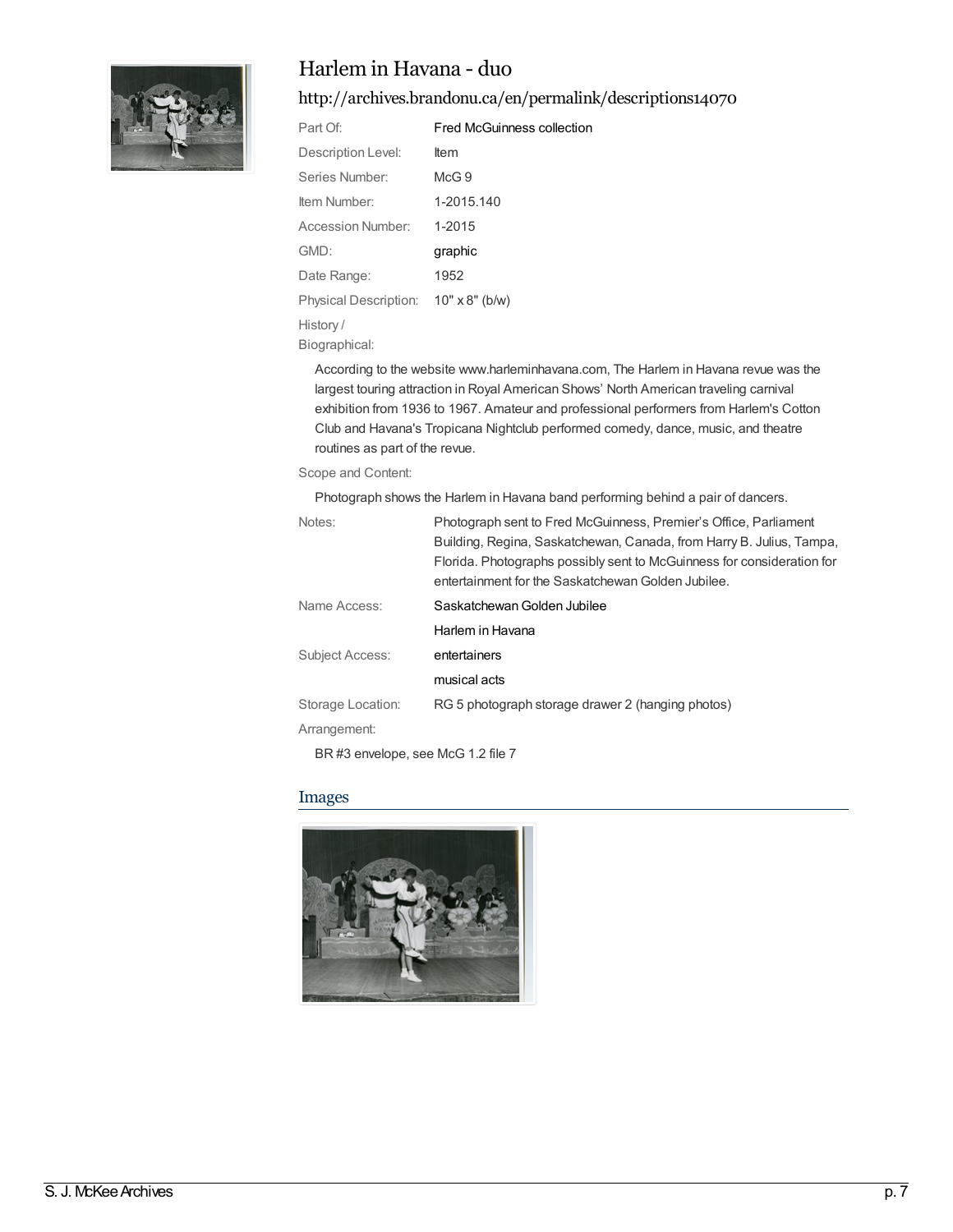

### Harlem in Havana - duo

<http://archives.brandonu.ca/en/permalink/descriptions14070>

| Part Of:              | <b>Fred McGuinness collection</b> |
|-----------------------|-----------------------------------|
| Description Level:    | ltem                              |
| Series Number:        | $McG$ 9                           |
| Item Number:          | 1-2015.140                        |
| Accession Number:     | 1-2015                            |
| GMD:                  | graphic                           |
| Date Range:           | 1952                              |
| Physical Description: | $10" \times 8"$ (b/w)             |
| History /             |                                   |
|                       |                                   |

Biographical:

According to the website www.harleminhavana.com, The Harlem in Havana revue was the largest touring attraction in Royal American Shows' North American traveling carnival exhibition from 1936 to 1967. Amateur and professional performers from Harlem's Cotton Club and Havana's Tropicana Nightclub performed comedy, dance, music, and theatre routines as part of the revue.

#### Scope and Content:

Photograph shows the Harlem in Havana band performing behind a pair of dancers.

| Notes:                 | Photograph sent to Fred McGuinness, Premier's Office, Parliament       |
|------------------------|------------------------------------------------------------------------|
|                        | Building, Regina, Saskatchewan, Canada, from Harry B. Julius, Tampa,   |
|                        | Florida. Photographs possibly sent to McGuinness for consideration for |
|                        | entertainment for the Saskatchewan Golden Jubilee.                     |
| Name Access:           | Saskatchewan Golden Jubilee                                            |
|                        | Harlem in Havana                                                       |
| <b>Subject Access:</b> | entertainers                                                           |
|                        | musical acts                                                           |
| Storage Location:      | RG 5 photograph storage drawer 2 (hanging photos)                      |
| Arrangement:           |                                                                        |
|                        |                                                                        |

BR #3 envelope, see McG 1.2 file 7

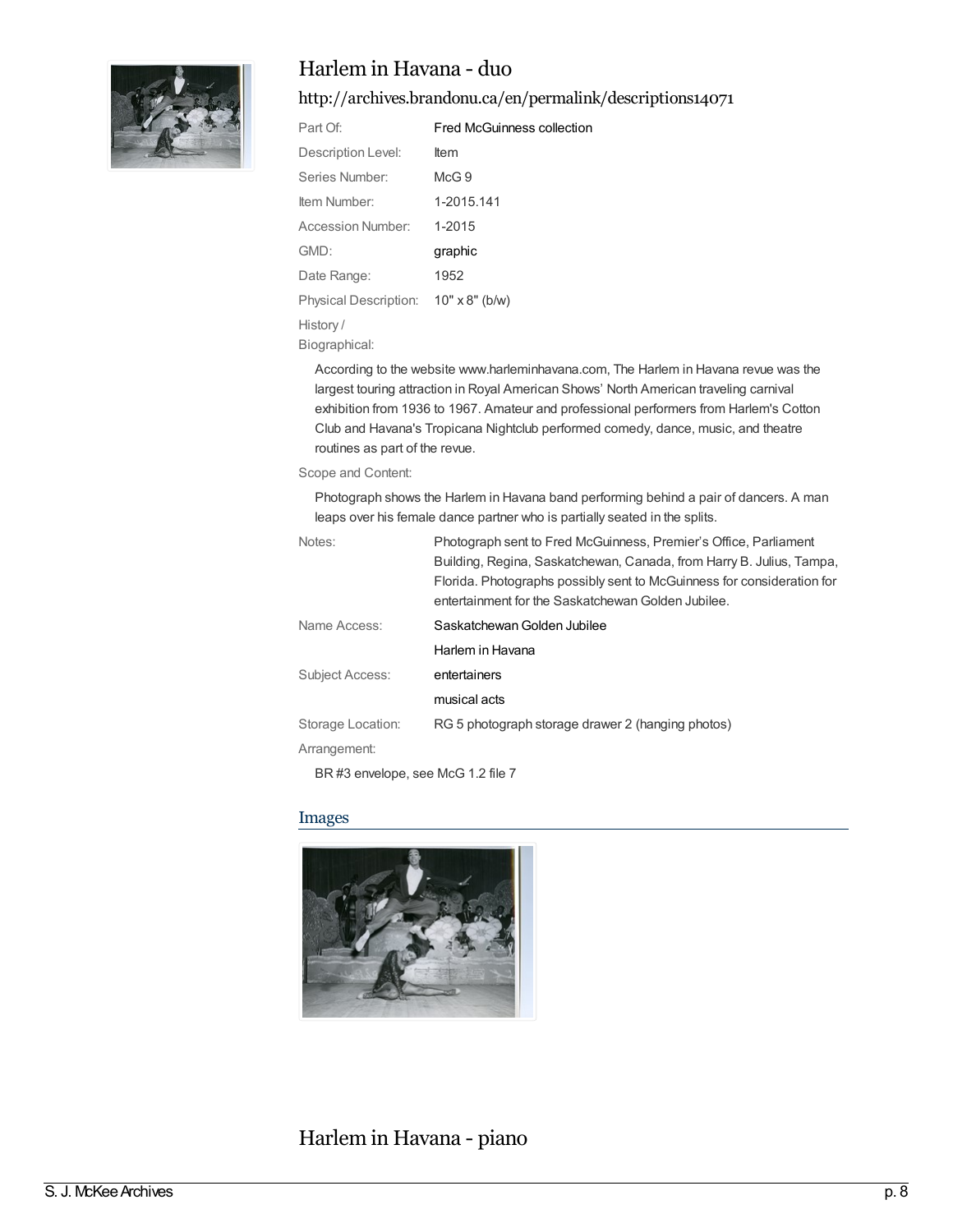

### Harlem in Havana - duo

<http://archives.brandonu.ca/en/permalink/descriptions14071>

| Part Of:              | <b>Fred McGuinness collection</b> |
|-----------------------|-----------------------------------|
| Description Level:    | ltem                              |
| Series Number:        | $McG$ 9                           |
| ltem Number:          | 1-2015.141                        |
| Accession Number:     | 1-2015                            |
| GMD:                  | graphic                           |
| Date Range:           | 1952                              |
| Physical Description: | $10" \times 8"$ (b/w)             |
| History /             |                                   |
|                       |                                   |

Biographical:

According to the website www.harleminhavana.com, The Harlem in Havana revue was the largest touring attraction in Royal American Shows' North American traveling carnival exhibition from 1936 to 1967. Amateur and professional performers from Harlem's Cotton Club and Havana's Tropicana Nightclub performed comedy, dance, music, and theatre routines as part of the revue.

#### Scope and Content:

Photograph shows the Harlem in Havana band performing behind a pair of dancers. A man leaps over his female dance partner who is partially seated in the splits.

| Notes:            | Photograph sent to Fred McGuinness, Premier's Office, Parliament       |
|-------------------|------------------------------------------------------------------------|
|                   | Building, Regina, Saskatchewan, Canada, from Harry B. Julius, Tampa,   |
|                   | Florida. Photographs possibly sent to McGuinness for consideration for |
|                   | entertainment for the Saskatchewan Golden Jubilee.                     |
| Name Access:      | Saskatchewan Golden Jubilee                                            |
|                   | Harlem in Havana                                                       |
| Subject Access:   | entertainers                                                           |
|                   | musical acts                                                           |
| Storage Location: | RG 5 photograph storage drawer 2 (hanging photos)                      |
| Arrangement:      |                                                                        |
|                   |                                                                        |

BR #3 envelope, see McG 1.2 file 7

#### Images



### Harlem in Havana - piano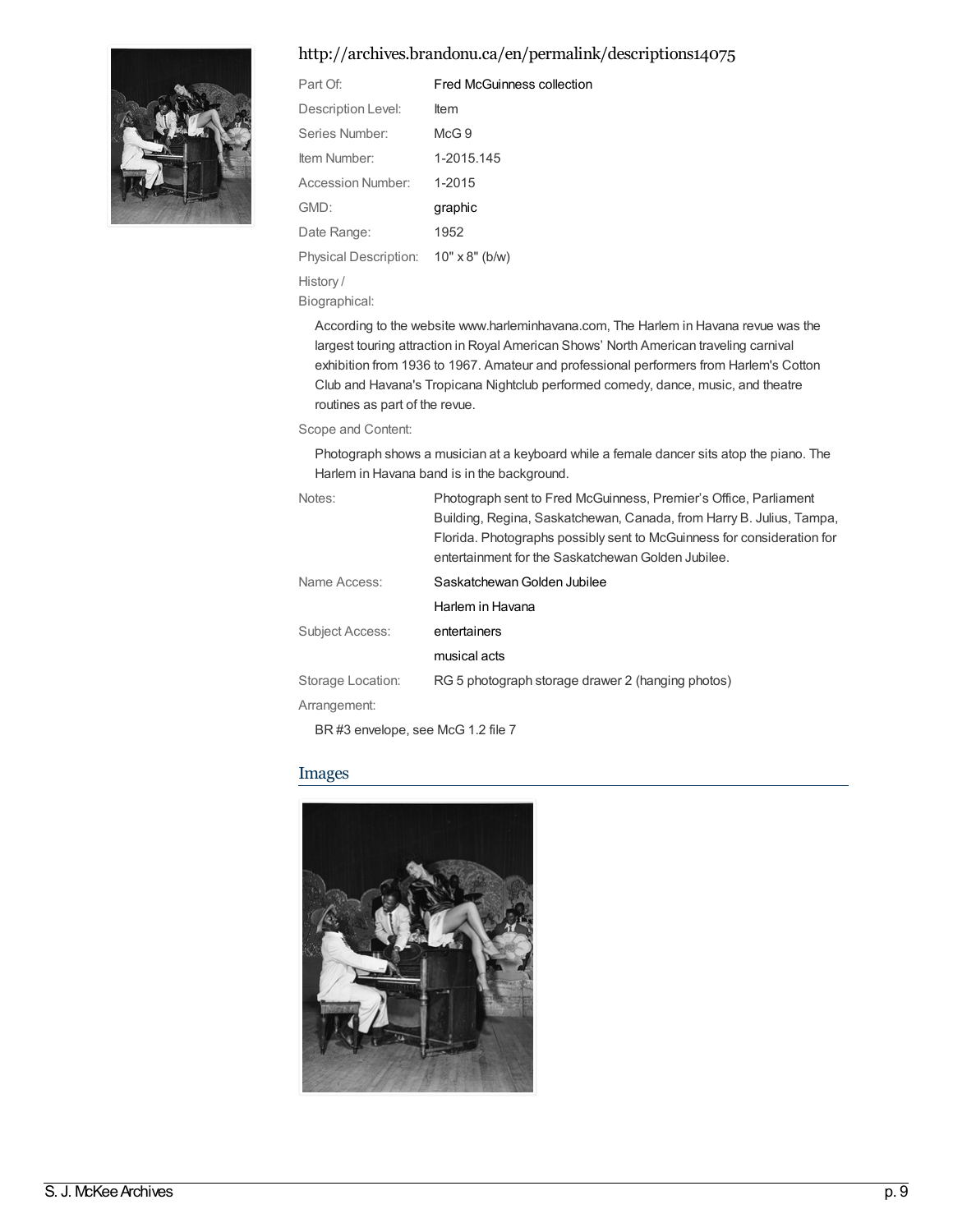#### <http://archives.brandonu.ca/en/permalink/descriptions14075>



| Part Of:                             | <b>Fred McGuinness collection</b> |
|--------------------------------------|-----------------------------------|
| Description Level:                   | <b>Item</b>                       |
| Series Number:                       | McG.9                             |
| ltem Number:                         | 1-2015.145                        |
| <b>Accession Number:</b>             | 1-2015                            |
| GMD:                                 | graphic                           |
| Date Range:                          | 1952                              |
| Physical Description: 10" x 8" (b/w) |                                   |
| History /                            |                                   |
|                                      |                                   |

Biographical:

According to the website www.harleminhavana.com, The Harlem in Havana revue was the largest touring attraction in Royal American Shows' North American traveling carnival exhibition from 1936 to 1967. Amateur and professional performers from Harlem's Cotton Club and Havana's Tropicana Nightclub performed comedy, dance, music, and theatre routines as part of the revue.

Scope and Content:

Photograph shows a musician at a keyboard while a female dancer sits atop the piano. The Harlem in Havana band is in the background.

| Notes:                         | Photograph sent to Fred McGuinness, Premier's Office, Parliament       |
|--------------------------------|------------------------------------------------------------------------|
|                                | Building, Regina, Saskatchewan, Canada, from Harry B. Julius, Tampa,   |
|                                | Florida. Photographs possibly sent to McGuinness for consideration for |
|                                | entertainment for the Saskatchewan Golden Jubilee.                     |
| Name Access:                   | Saskatchewan Golden Jubilee                                            |
|                                | Harlem in Havana                                                       |
| <b>Subject Access:</b>         | entertainers                                                           |
|                                | musical acts                                                           |
| Storage Location:              | RG 5 photograph storage drawer 2 (hanging photos)                      |
| Arrangement:                   |                                                                        |
| <b>PP 110 11 11 01 01 11 7</b> |                                                                        |

BR #3 envelope, see McG 1.2 file 7

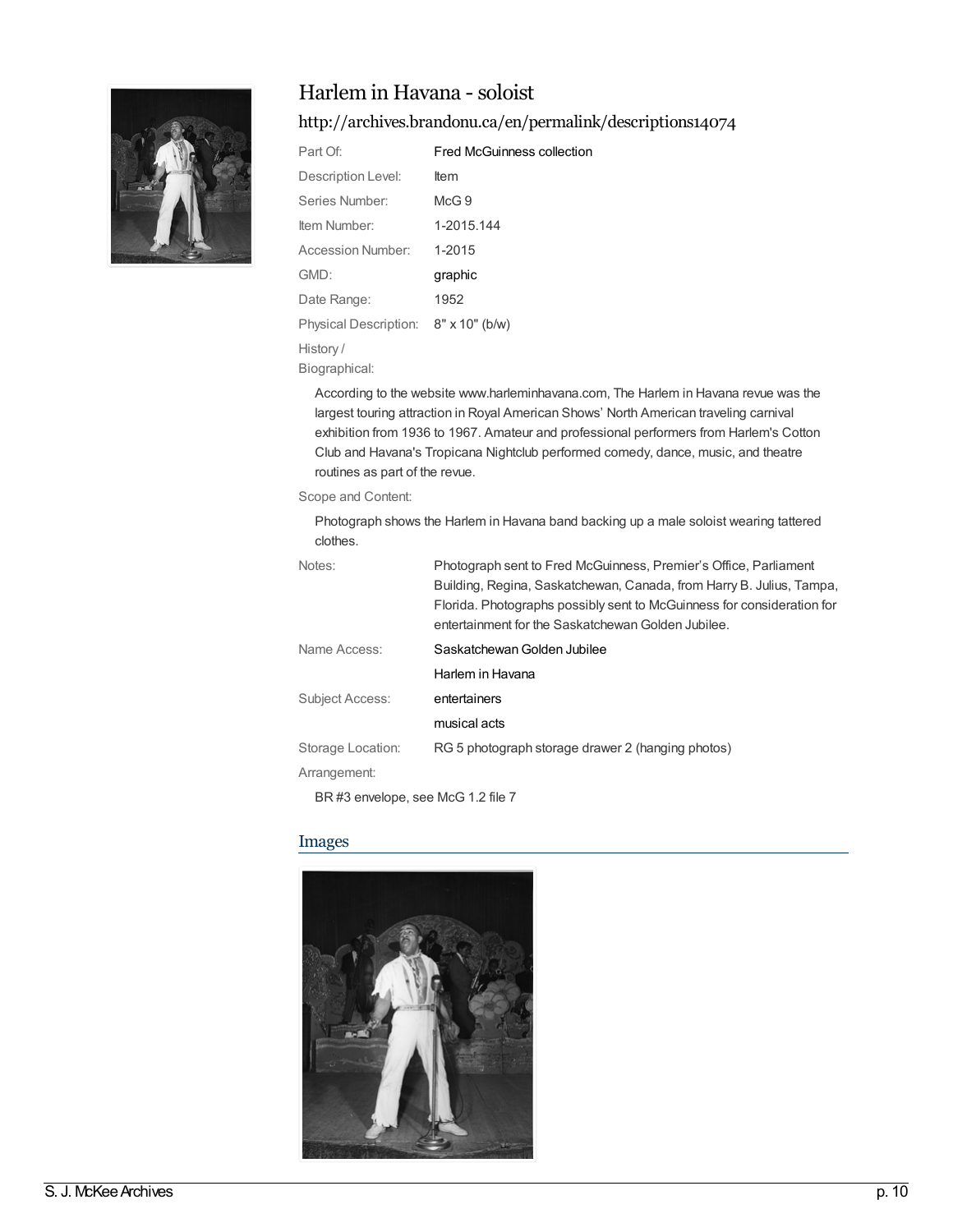

### Harlem in Havana - soloist

#### <http://archives.brandonu.ca/en/permalink/descriptions14074>

| Part Of:              | <b>Fred McGuinness collection</b> |
|-----------------------|-----------------------------------|
| Description Level:    | ltem                              |
| Series Number:        | McG.9                             |
| Item Number:          | 1-2015.144                        |
| Accession Number:     | 1-2015                            |
| GMD:                  | graphic                           |
| Date Range:           | 1952                              |
| Physical Description: | $8" \times 10"$ (b/w)             |
| History/              |                                   |

Biographical:

According to the website www.harleminhavana.com, The Harlem in Havana revue was the largest touring attraction in Royal American Shows' North American traveling carnival exhibition from 1936 to 1967. Amateur and professional performers from Harlem's Cotton Club and Havana's Tropicana Nightclub performed comedy, dance, music, and theatre routines as part of the revue.

#### Scope and Content:

Photograph shows the Harlem in Havana band backing up a male soloist wearing tattered clothes.

| Notes:            | Photograph sent to Fred McGuinness, Premier's Office, Parliament<br>Building, Regina, Saskatchewan, Canada, from Harry B. Julius, Tampa,<br>Florida. Photographs possibly sent to McGuinness for consideration for<br>entertainment for the Saskatchewan Golden Jubilee. |
|-------------------|--------------------------------------------------------------------------------------------------------------------------------------------------------------------------------------------------------------------------------------------------------------------------|
| Name Access:      | Saskatchewan Golden Jubilee                                                                                                                                                                                                                                              |
|                   | Harlem in Havana                                                                                                                                                                                                                                                         |
| Subject Access:   | entertainers                                                                                                                                                                                                                                                             |
|                   | musical acts                                                                                                                                                                                                                                                             |
| Storage Location: | RG 5 photograph storage drawer 2 (hanging photos)                                                                                                                                                                                                                        |
| Arrangement:      |                                                                                                                                                                                                                                                                          |

BR #3 envelope, see McG 1.2 file 7

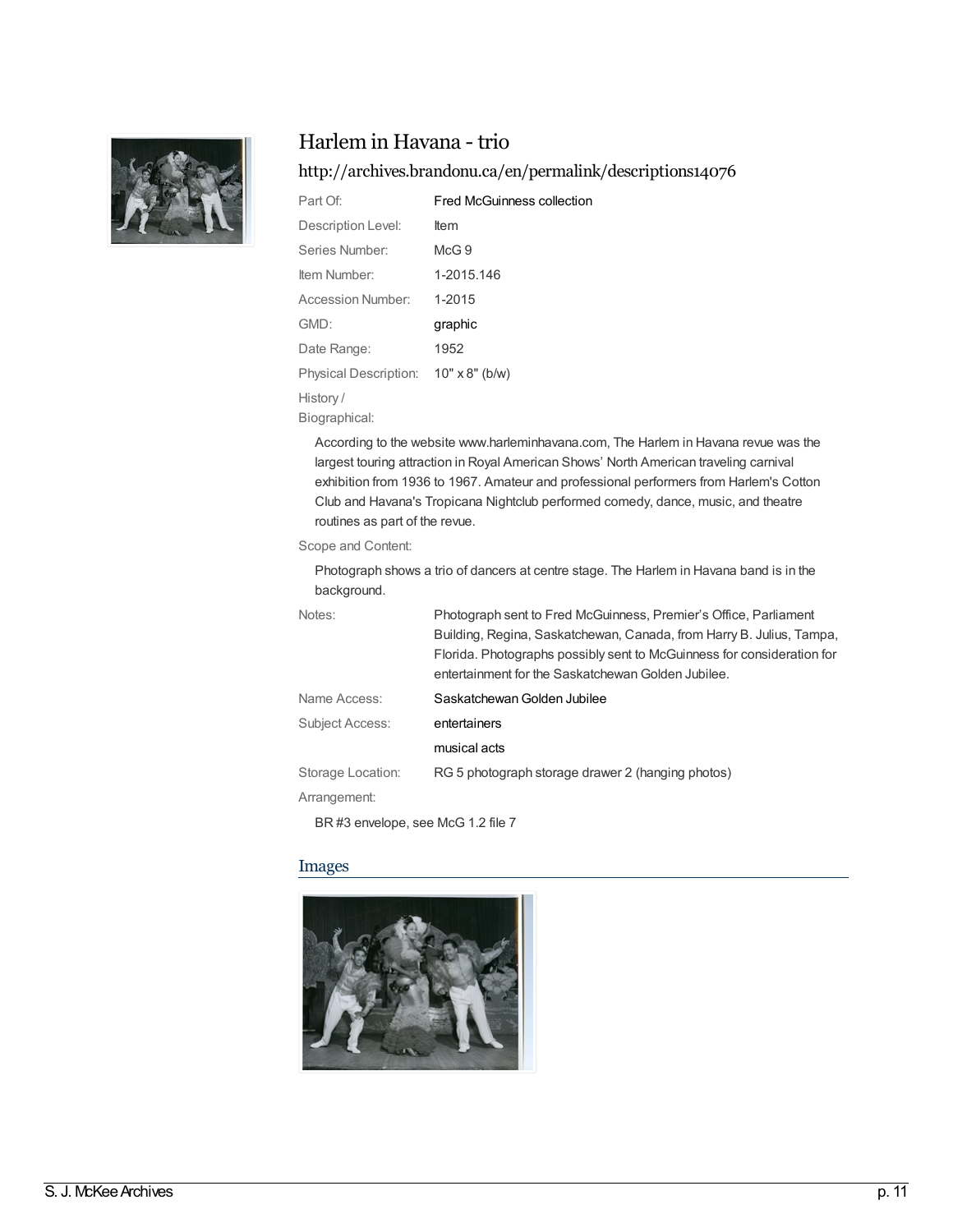

### Harlem in Havana - trio

#### <http://archives.brandonu.ca/en/permalink/descriptions14076>

| Part Of:              | <b>Fred McGuinness collection</b> |
|-----------------------|-----------------------------------|
| Description Level:    | <b>Item</b>                       |
| Series Number:        | $McG$ 9                           |
| Item Number:          | 1-2015.146                        |
| Accession Number:     | 1-2015                            |
| GMD:                  | graphic                           |
| Date Range:           | 1952                              |
| Physical Description: | $10" \times 8"$ (b/w)             |
| History/              |                                   |

Biographical:

According to the website www.harleminhavana.com, The Harlem in Havana revue was the largest touring attraction in Royal American Shows' North American traveling carnival exhibition from 1936 to 1967. Amateur and professional performers from Harlem's Cotton Club and Havana's Tropicana Nightclub performed comedy, dance, music, and theatre routines as part of the revue.

Scope and Content:

Photograph shows a trio of dancers at centre stage. The Harlem in Havana band is in the background.

| Notes:            | Photograph sent to Fred McGuinness, Premier's Office, Parliament<br>Building, Regina, Saskatchewan, Canada, from Harry B. Julius, Tampa,<br>Florida. Photographs possibly sent to McGuinness for consideration for<br>entertainment for the Saskatchewan Golden Jubilee. |
|-------------------|--------------------------------------------------------------------------------------------------------------------------------------------------------------------------------------------------------------------------------------------------------------------------|
| Name Access:      | Saskatchewan Golden Jubilee                                                                                                                                                                                                                                              |
| Subject Access:   | entertainers                                                                                                                                                                                                                                                             |
|                   | musical acts                                                                                                                                                                                                                                                             |
| Storage Location: | RG 5 photograph storage drawer 2 (hanging photos)                                                                                                                                                                                                                        |
| Arrangement:      |                                                                                                                                                                                                                                                                          |

BR #3 envelope, see McG 1.2 file 7

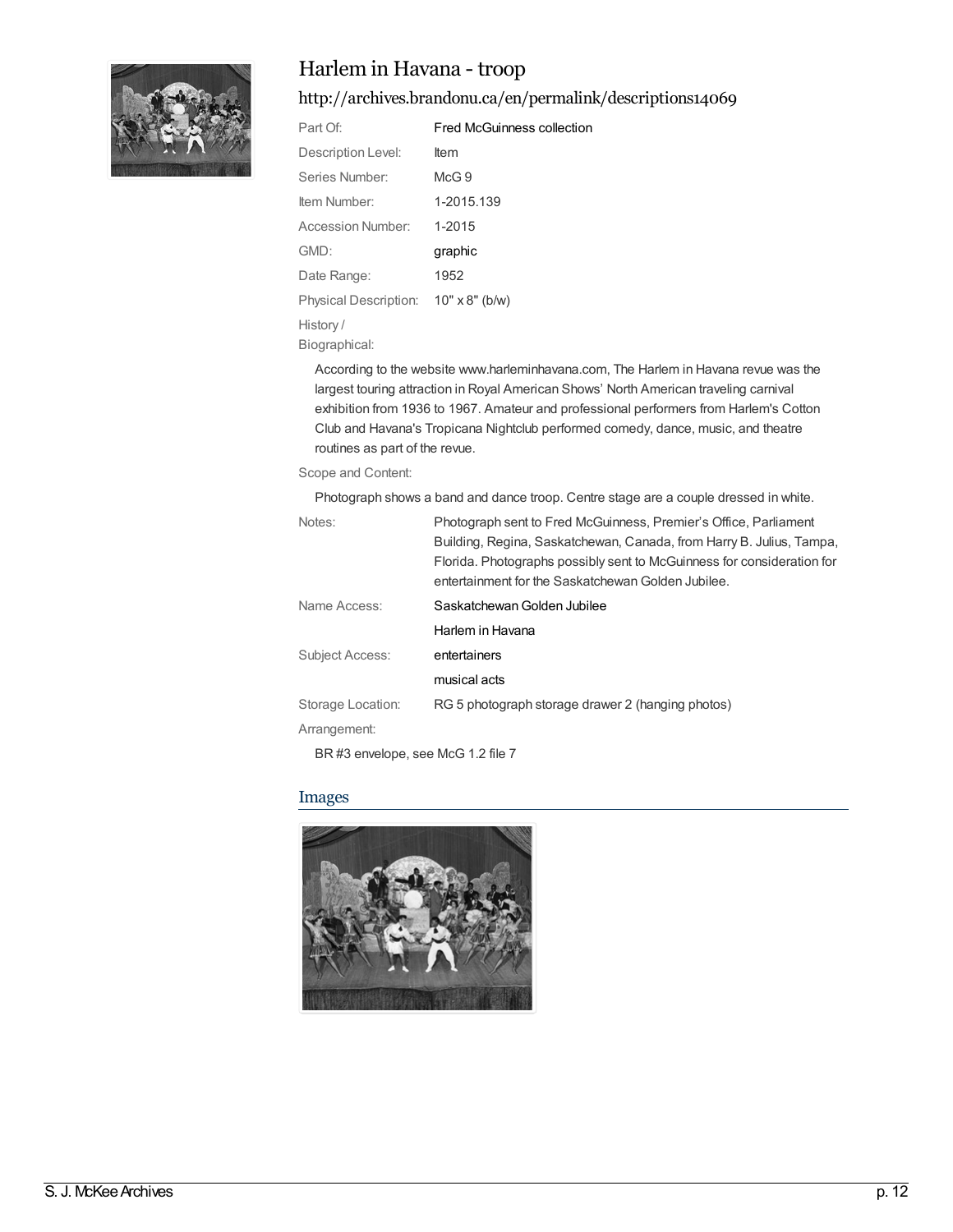

### Harlem in Havana - troop

<http://archives.brandonu.ca/en/permalink/descriptions14069>

| Part Of:                 | <b>Fred McGuinness collection</b> |
|--------------------------|-----------------------------------|
| Description Level:       | ltem                              |
| Series Number:           | McG.9                             |
| ltem Number:             | 1-2015.139                        |
| <b>Accession Number:</b> | 1-2015                            |
| GMD:                     | graphic                           |
| Date Range:              | 1952                              |
| Physical Description:    | $10" \times 8"$ (b/w)             |
| History /                |                                   |
|                          |                                   |

Biographical:

According to the website www.harleminhavana.com, The Harlem in Havana revue was the largest touring attraction in Royal American Shows' North American traveling carnival exhibition from 1936 to 1967. Amateur and professional performers from Harlem's Cotton Club and Havana's Tropicana Nightclub performed comedy, dance, music, and theatre routines as part of the revue.

#### Scope and Content:

Photograph shows a band and dance troop. Centre stage are a couple dressed in white.

| Notes:                 | Photograph sent to Fred McGuinness, Premier's Office, Parliament       |
|------------------------|------------------------------------------------------------------------|
|                        | Building, Regina, Saskatchewan, Canada, from Harry B. Julius, Tampa,   |
|                        | Florida. Photographs possibly sent to McGuinness for consideration for |
|                        | entertainment for the Saskatchewan Golden Jubilee.                     |
| Name Access:           | Saskatchewan Golden Jubilee                                            |
|                        | Harlem in Havana                                                       |
| <b>Subject Access:</b> | entertainers                                                           |
|                        | musical acts                                                           |
| Storage Location:      | RG 5 photograph storage drawer 2 (hanging photos)                      |
| Arrangement:           |                                                                        |
|                        |                                                                        |

BR #3 envelope, see McG 1.2 file 7

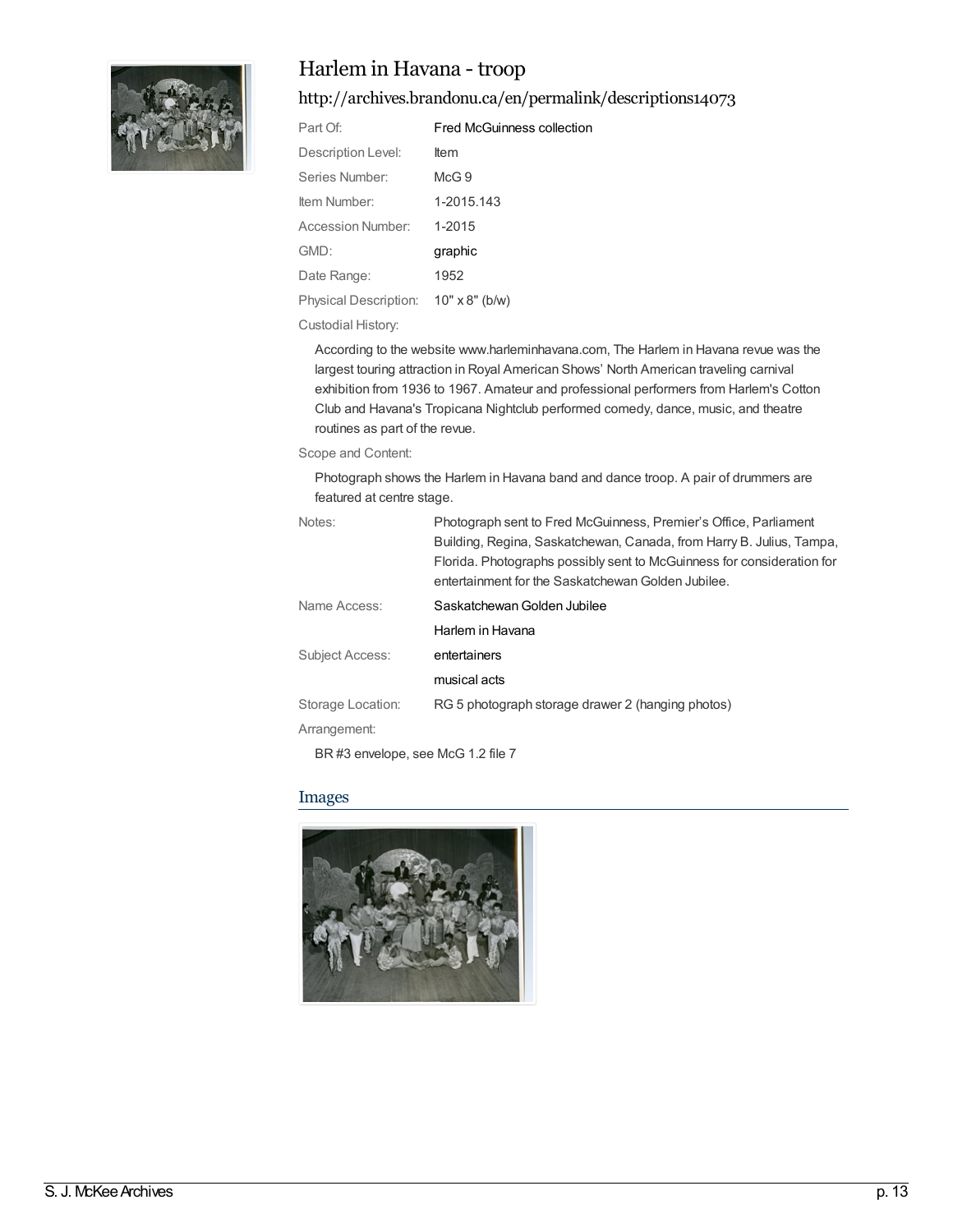

### Harlem in Havana - troop

<http://archives.brandonu.ca/en/permalink/descriptions14073>

| Part Of:              | Fred McGuinness collection |
|-----------------------|----------------------------|
| Description Level:    | <b>Item</b>                |
| Series Number:        | McG.9                      |
| ltem Number:          | 1-2015.143                 |
| Accession Number:     | 1-2015                     |
| GMD:                  | graphic                    |
| Date Range:           | 1952                       |
| Physical Description: | $10" \times 8"$ (b/w)      |

#### Custodial History:

According to the website www.harleminhavana.com, The Harlem in Havana revue was the largest touring attraction in Royal American Shows' North American traveling carnival exhibition from 1936 to 1967. Amateur and professional performers from Harlem's Cotton Club and Havana's Tropicana Nightclub performed comedy, dance, music, and theatre routines as part of the revue.

#### Scope and Content:

Photograph shows the Harlem in Havana band and dance troop. A pair of drummers are featured at centre stage.

| Notes:                 | Photograph sent to Fred McGuinness, Premier's Office, Parliament       |
|------------------------|------------------------------------------------------------------------|
|                        | Building, Regina, Saskatchewan, Canada, from Harry B. Julius, Tampa,   |
|                        | Florida. Photographs possibly sent to McGuinness for consideration for |
|                        | entertainment for the Saskatchewan Golden Jubilee.                     |
| Name Access:           | Saskatchewan Golden Jubilee                                            |
|                        | Harlem in Havana                                                       |
| <b>Subject Access:</b> | entertainers                                                           |
|                        | musical acts                                                           |
| Storage Location:      | RG 5 photograph storage drawer 2 (hanging photos)                      |
| Arrangement:           |                                                                        |
|                        |                                                                        |

BR #3 envelope, see McG 1.2 file 7

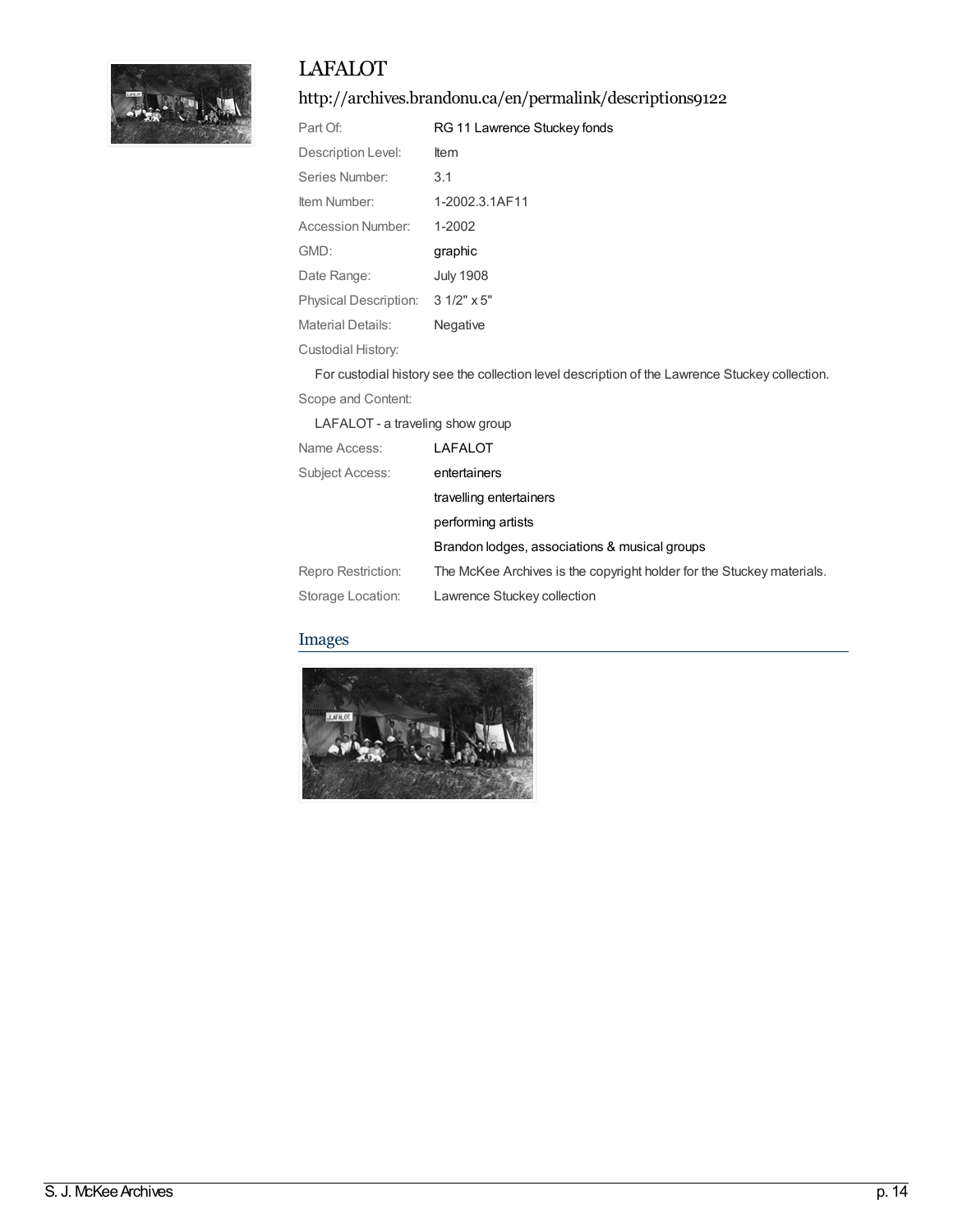

## LAFALOT

### <http://archives.brandonu.ca/en/permalink/descriptions9122>

| Part Of:              | RG 11 Lawrence Stuckey fonds |
|-----------------------|------------------------------|
| Description Level:    | <b>Item</b>                  |
| Series Number:        | 3.1                          |
| Item Number:          | 1-2002.3.1AF11               |
| Accession Number:     | $1 - 2002$                   |
| GMD:                  | graphic                      |
| Date Range:           | <b>July 1908</b>             |
| Physical Description: | $31/2" \times 5"$            |
| Material Details:     | Negative                     |
| Custodial History:    |                              |

For custodial history see the collection level description of the Lawrence Stuckey collection.

Scope and Content:

LAFALOT - a traveling show group

| Name Access:       | LAFALOT                                                               |
|--------------------|-----------------------------------------------------------------------|
| Subject Access:    | entertainers                                                          |
|                    | travelling entertainers                                               |
|                    | performing artists                                                    |
|                    | Brandon lodges, associations & musical groups                         |
| Repro Restriction: | The McKee Archives is the copyright holder for the Stuckey materials. |
| Storage Location:  | Lawrence Stuckey collection                                           |

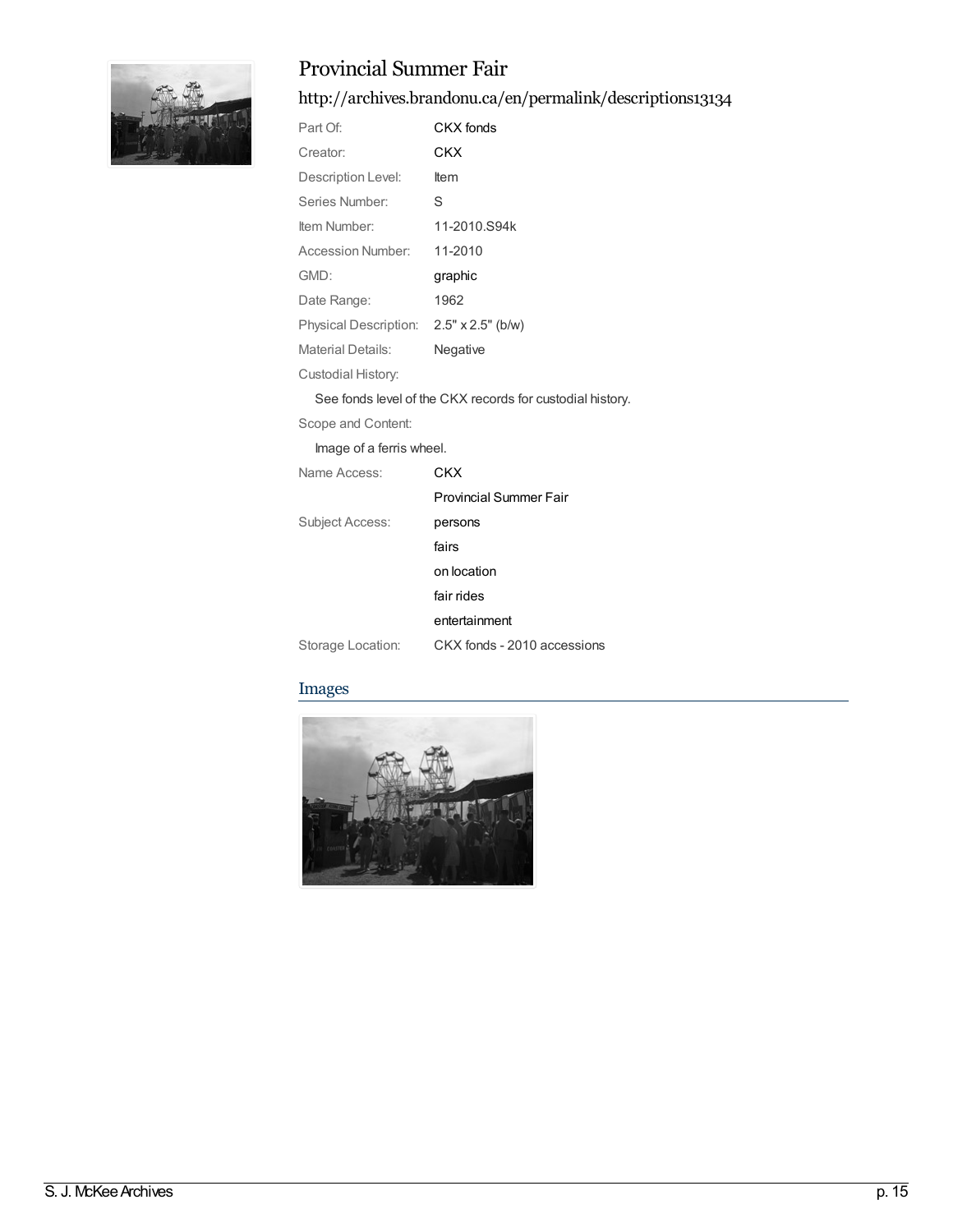

### Provincial Summer Fair

### <http://archives.brandonu.ca/en/permalink/descriptions13134>

| Part Of:                                | CKX fonds    |
|-----------------------------------------|--------------|
| Creator:                                | CKX          |
| Description Level:                      | ltem         |
| Series Number:                          | S            |
| Item Number:                            | 11-2010.S94k |
| Accession Number:                       | 11-2010      |
| GMD:                                    | graphic      |
| Date Range:                             | 1962         |
| Physical Description: 2.5" x 2.5" (b/w) |              |
| Material Details:                       | Negative     |
| Custodial History:                      |              |

See fonds level of the CKX records for custodial history.

Scope and Content:

Image of a ferris wheel.

| Name Access:      | CKX                         |
|-------------------|-----------------------------|
|                   | Provincial Summer Fair      |
| Subject Access:   | persons                     |
|                   | fairs                       |
|                   | on location                 |
|                   | fair rides                  |
|                   | entertainment               |
| Storage Location: | CKX fonds - 2010 accessions |

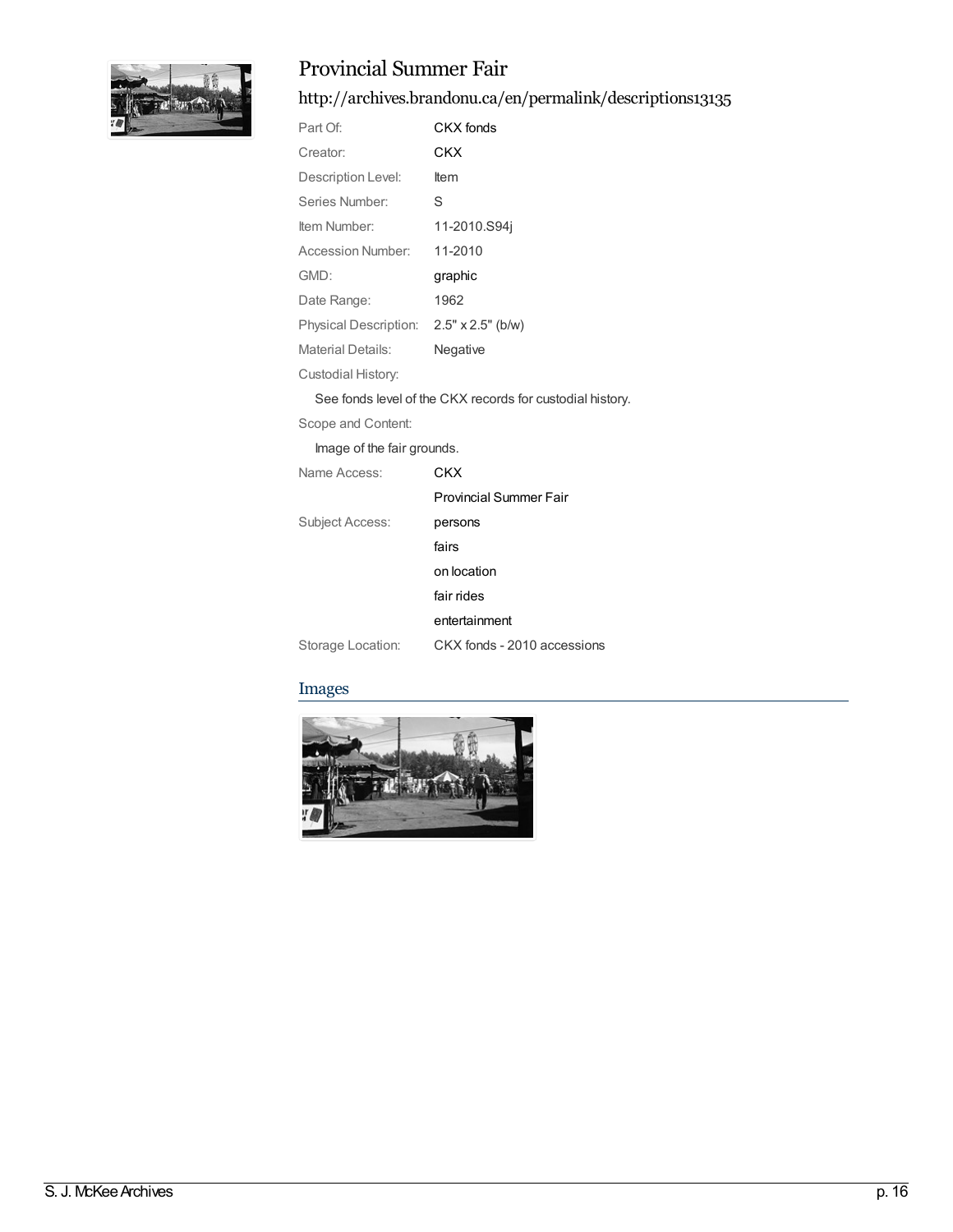

### Provincial Summer Fair

<http://archives.brandonu.ca/en/permalink/descriptions13135>

| Part Of:              | CKX fonds                |
|-----------------------|--------------------------|
| Creator:              | CKX                      |
| Description Level:    | ltem                     |
| Series Number:        | S                        |
| Item Number:          | 11-2010.S94i             |
| Accession Number:     | 11-2010                  |
| GMD:                  | graphic                  |
| Date Range:           | 1962                     |
| Physical Description: | $2.5" \times 2.5"$ (b/w) |
| Material Details:     | Negative                 |
| Custodial History:    |                          |

See fonds level of the CKX records for custodial history.

Scope and Content:

Image of the fair grounds.

| Name Access:      | CKX                         |
|-------------------|-----------------------------|
|                   | Provincial Summer Fair      |
| Subject Access:   | persons                     |
|                   | fairs                       |
|                   | on location                 |
|                   | fair rides                  |
|                   | entertainment               |
| Storage Location: | CKX fonds - 2010 accessions |

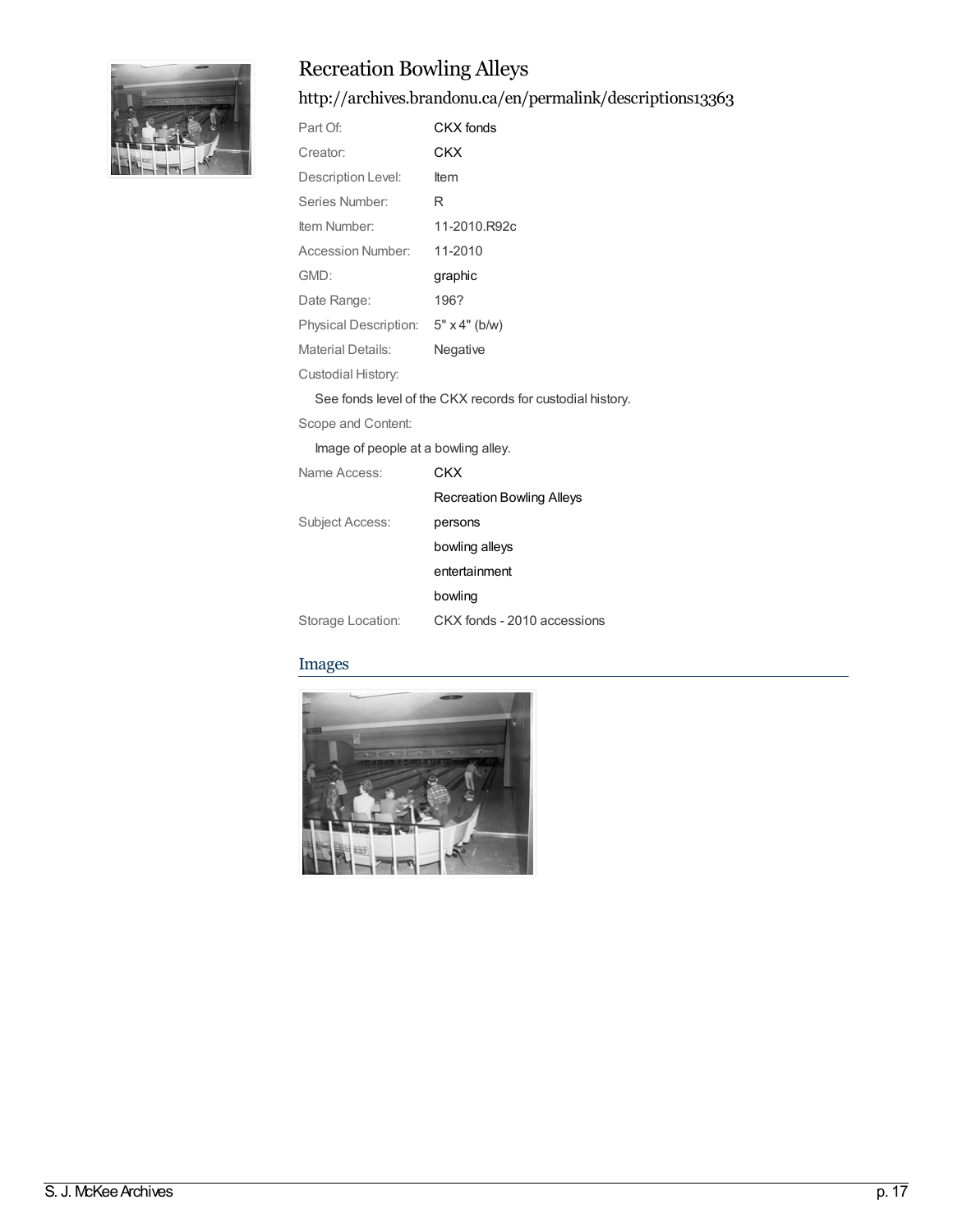

# Recreation Bowling Alleys

### <http://archives.brandonu.ca/en/permalink/descriptions13363>

| Part Of:                            | CKX fonds                                                 |
|-------------------------------------|-----------------------------------------------------------|
| Creator:                            | <b>CKX</b>                                                |
| Description Level:                  | Item                                                      |
| Series Number:                      | R                                                         |
| Item Number:                        | 11-2010.R92c                                              |
| <b>Accession Number:</b>            | 11-2010                                                   |
| GMD:                                | graphic                                                   |
| Date Range:                         | 196?                                                      |
| Physical Description: 5" x 4" (b/w) |                                                           |
| Material Details:                   | Negative                                                  |
| Custodial History:                  |                                                           |
|                                     | See fonds level of the CKX records for custodial history. |
| Scope and Content:                  |                                                           |
| Image of people at a bowling alley. |                                                           |
| Name Access:                        | CKX                                                       |
|                                     | De esse tiese Decolise Alleco                             |

|                   | <b>Recreation Bowling Alleys</b> |
|-------------------|----------------------------------|
| Subject Access:   | persons                          |
|                   | bowling alleys                   |
|                   | entertainment                    |
|                   | bowling                          |
| Storage Location: | CKX fonds - 2010 accessions      |

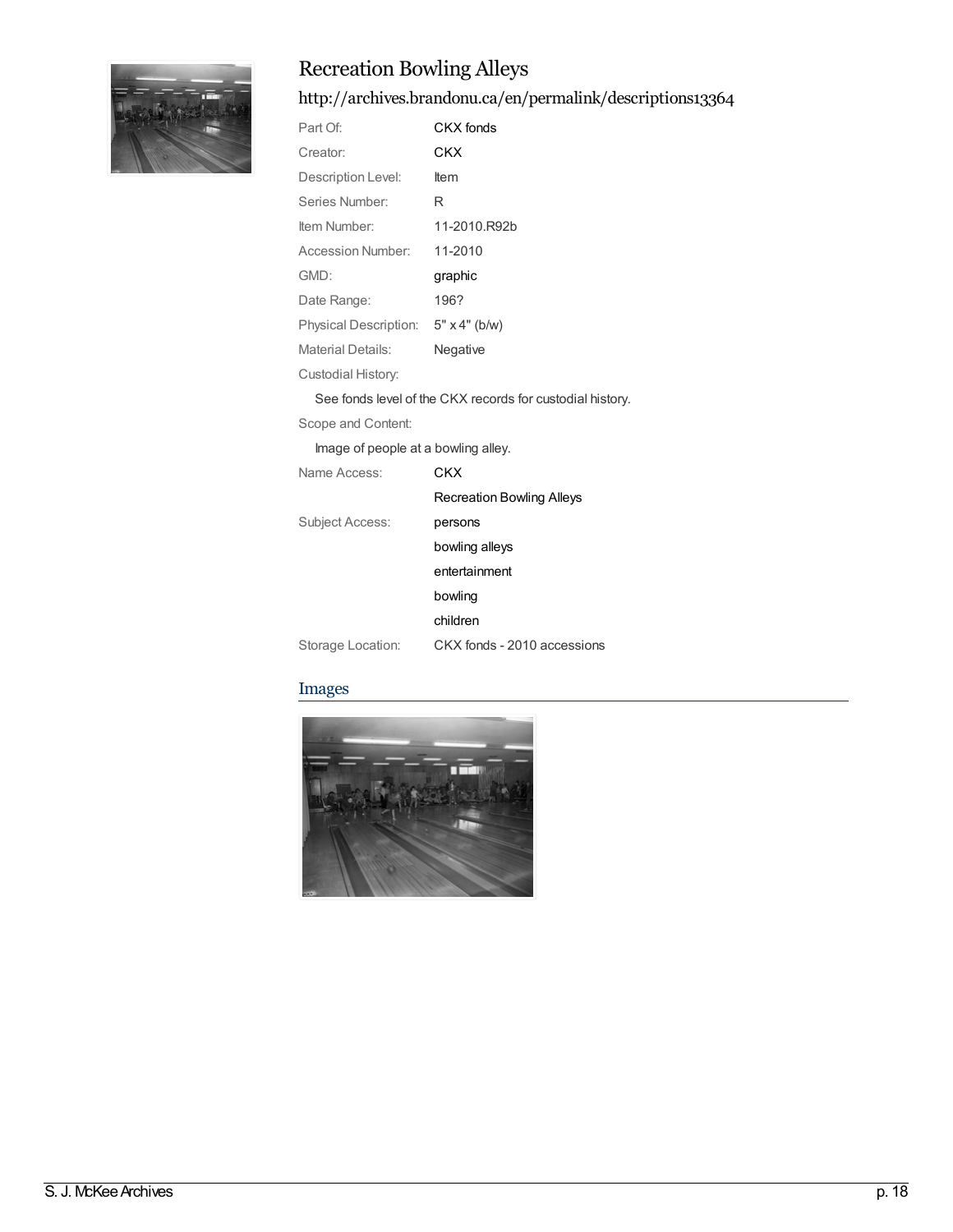

# Recreation Bowling Alleys

### <http://archives.brandonu.ca/en/permalink/descriptions13364>

| Part Of:                            | <b>CKX</b> fonds                                          |
|-------------------------------------|-----------------------------------------------------------|
| Creator:                            | CKX                                                       |
| Description Level:                  | Item                                                      |
| Series Number:                      | R                                                         |
| Item Number:                        | 11-2010.R92b                                              |
| <b>Accession Number:</b>            | 11-2010                                                   |
| GMD:                                | graphic                                                   |
| Date Range:                         | 196?                                                      |
| Physical Description: 5" x 4" (b/w) |                                                           |
| Material Details:                   | Negative                                                  |
| Custodial History:                  |                                                           |
|                                     | See fonds level of the CKX records for custodial history. |
| Scope and Content:                  |                                                           |
| Image of people at a bowling alley. |                                                           |

Name Access: [CKX](http://archives.brandonu.ca/en/list?q=name%3a%22CKX%22&p=1&ps=&sort=title_sort+asc) [Recreation](http://archives.brandonu.ca/en/list?q=name%3a%22Recreation+Bowling+Alleys%22&p=1&ps=&sort=title_sort+asc) Bowling Alleys Subject Access: [persons](http://archives.brandonu.ca/en/list?q=topic%3a%22persons%22&p=1&ps=&sort=title_sort+asc) [bowling](http://archives.brandonu.ca/en/list?q=topic%3a%22bowling+alleys%22&p=1&ps=&sort=title_sort+asc) alleys [entertainment](http://archives.brandonu.ca/en/list?q=topic%3a%22entertainment%22&p=1&ps=&sort=title_sort+asc) [bowling](http://archives.brandonu.ca/en/list?q=topic%3a%22bowling%22&p=1&ps=&sort=title_sort+asc) [children](http://archives.brandonu.ca/en/list?q=topic%3a%22children%22&p=1&ps=&sort=title_sort+asc) Storage Location: CKX fonds - 2010 accessions

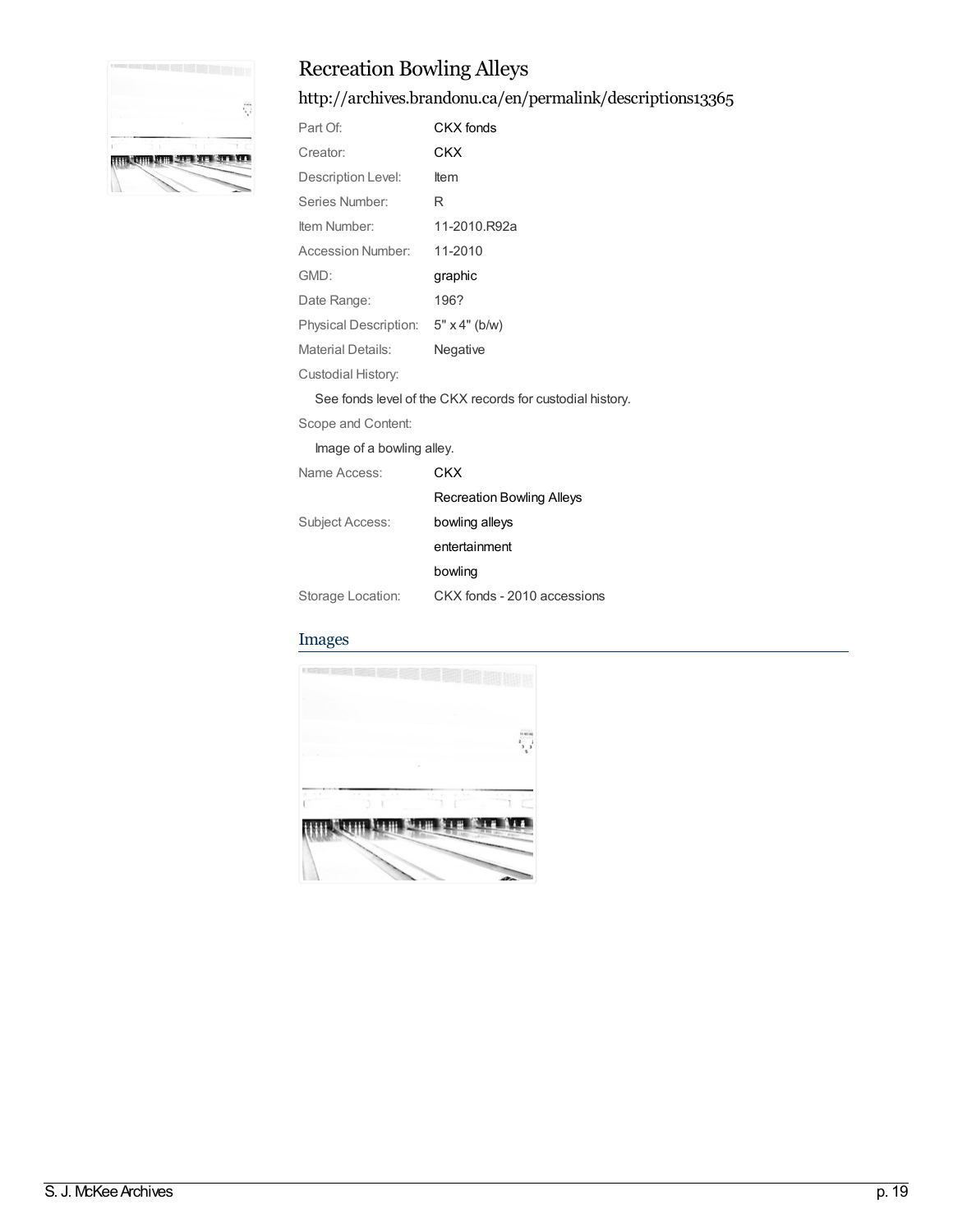

# Recreation Bowling Alleys

### <http://archives.brandonu.ca/en/permalink/descriptions13365>

| Part Of:                            | CKX fonds                                                 |
|-------------------------------------|-----------------------------------------------------------|
| Creator:                            | CKX                                                       |
| Description Level:                  | Item                                                      |
| Series Number:                      | R                                                         |
| Item Number:                        | 11-2010.R92a                                              |
| <b>Accession Number:</b>            | 11-2010                                                   |
| GMD:                                | graphic                                                   |
| Date Range:                         | 196?                                                      |
| Physical Description: 5" x 4" (b/w) |                                                           |
| <b>Material Details:</b>            | Negative                                                  |
| Custodial History:                  |                                                           |
|                                     | See fonds level of the CKX records for custodial history. |
| Scope and Content:                  |                                                           |
| Image of a bowling alley.           |                                                           |
| Name Access:                        | CKX                                                       |
|                                     | <b>Recreation Bowling Alleys</b>                          |
| <b>Subject Access:</b>              | bowling alleys                                            |
|                                     | entertainment                                             |

[bowling](http://archives.brandonu.ca/en/list?q=topic%3a%22bowling%22&p=1&ps=&sort=title_sort+asc)

Storage Location: CKX fonds - 2010 accessions